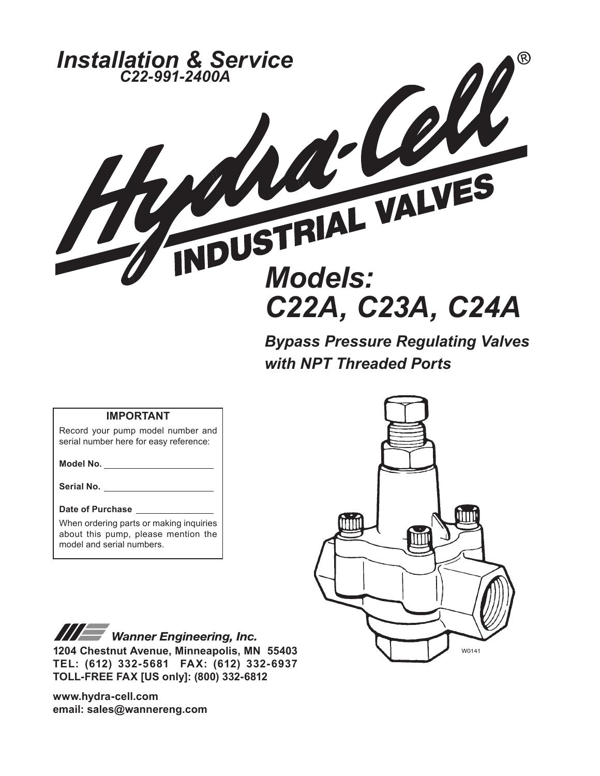

*Bypass Pressure Regulating Valves with NPT Threaded Ports*

#### **IMPORTANT**

Record your pump model number and serial number here for easy reference:

**Model No.**

**Serial No.**

#### **Date of Purchase**

When ordering parts or making inquiries about this pump, please mention the model and serial numbers.



**III Wanner Engineering, Inc. 1204 Chestnut Avenue, Minneapolis, MN 55403 TEL: (612) 332-5681 FAX: (612) 332-6937 TOLL-FREE FAX [US only]: (800) 332-6812** 

**www.hydra-cell.com email: sales@wannereng.com**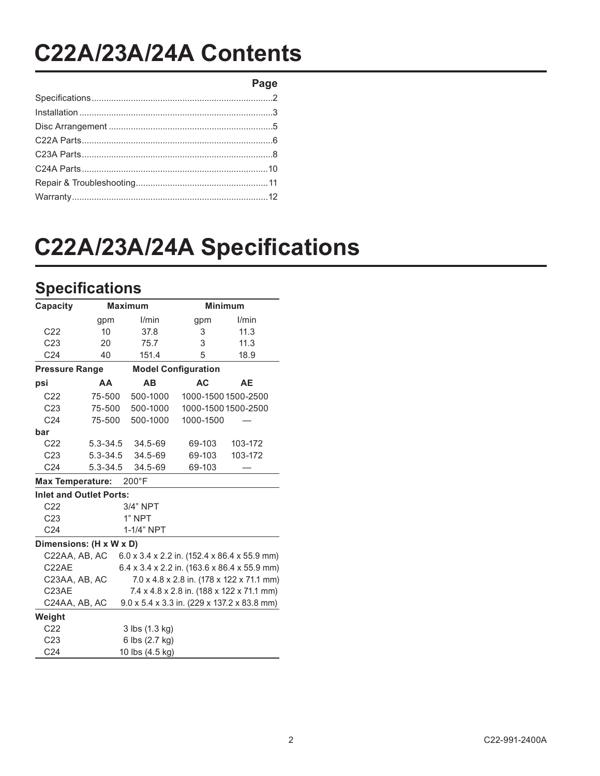## **C22A/23A/24A Contents**

**Page**

# **C22A/23A/24A Specifications**

## **Specifications**

| Capacity                |                                | <b>Maximum</b>  |                            | <b>Minimum</b>                               |
|-------------------------|--------------------------------|-----------------|----------------------------|----------------------------------------------|
|                         | gpm                            | l/min           | gpm                        | l/min                                        |
| C <sub>22</sub>         | 10                             | 37.8            | 3                          | 11.3                                         |
| C <sub>23</sub>         | 20                             | 75.7            | 3                          | 11.3                                         |
| C <sub>24</sub>         | 40                             | 151.4           | 5                          | 18.9                                         |
| <b>Pressure Range</b>   |                                |                 | <b>Model Configuration</b> |                                              |
| psi                     | AA                             | AB              | <b>AC</b>                  | AE                                           |
| C <sub>22</sub>         | 75-500                         | 500-1000        |                            | 1000-1500 1500-2500                          |
| C <sub>23</sub>         | 75-500                         | 500-1000        |                            | 1000-1500 1500-2500                          |
| C <sub>24</sub>         | 75-500                         | 500-1000        | 1000-1500                  |                                              |
| bar                     |                                |                 |                            |                                              |
| C <sub>22</sub>         | $5.3 - 34.5$                   | 34.5-69         | 69-103                     | 103-172                                      |
| C <sub>23</sub>         | $5.3 - 34.5$                   | 34.5-69         | 69-103                     | 103-172                                      |
| C <sub>24</sub>         | $5.3 - 34.5$                   | 34.5-69         | 69-103                     |                                              |
| <b>Max Temperature:</b> |                                | $200^{\circ}$ F |                            |                                              |
|                         | <b>Inlet and Outlet Ports:</b> |                 |                            |                                              |
| C <sub>22</sub>         |                                | 3/4" NPT        |                            |                                              |
| C <sub>23</sub>         |                                | 1" NPT          |                            |                                              |
| C <sub>24</sub>         |                                | 1-1/4" NPT      |                            |                                              |
|                         | Dimensions: (H x W x D)        |                 |                            |                                              |
| C22AA, AB, AC           |                                |                 |                            | 6.0 x 3.4 x 2.2 in. (152.4 x 86.4 x 55.9 mm) |
| C22AE                   |                                |                 |                            | 6.4 x 3.4 x 2.2 in. (163.6 x 86.4 x 55.9 mm) |
| C23AA, AB, AC           |                                |                 |                            | 7.0 x 4.8 x 2.8 in. (178 x 122 x 71.1 mm)    |
| C23AE                   |                                |                 |                            | 7.4 x 4.8 x 2.8 in. (188 x 122 x 71.1 mm)    |
| C24AA, AB, AC           |                                |                 |                            | 9.0 x 5.4 x 3.3 in. (229 x 137.2 x 83.8 mm)  |
| Weight                  |                                |                 |                            |                                              |
| C <sub>22</sub>         |                                | 3 lbs (1.3 kg)  |                            |                                              |
| C <sub>23</sub>         |                                | 6 lbs (2.7 kg)  |                            |                                              |
| C <sub>24</sub>         |                                | 10 lbs (4.5 kg) |                            |                                              |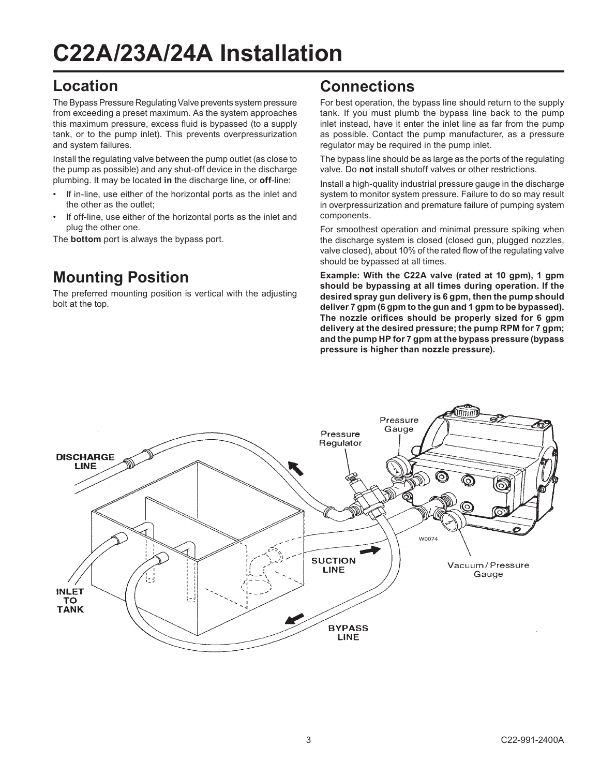## **C22A/23A/24A Installation**

### **Location**

The Bypass Pressure Regulating Valve prevents system pressure from exceeding a preset maximum. As the system approaches this maximum pressure, excess fluid is bypassed (to a supply tank, or to the pump inlet). This prevents overpressurization and system failures.

Install the regulating valve between the pump outlet (as close to the pump as possible) and any shut-off device in the discharge plumbing. It may be located **in** the discharge line, or **off**-line:

- If in-line, use either of the horizontal ports as the inlet and the other as the outlet;
- If off-line, use either of the horizontal ports as the inlet and plug the other one.

The **bottom** port is always the bypass port.

## **Mounting Position**

The preferred mounting position is vertical with the adjusting bolt at the top.

### **Connections**

For best operation, the bypass line should return to the supply tank. If you must plumb the bypass line back to the pump inlet instead, have it enter the inlet line as far from the pump as possible. Contact the pump manufacturer, as a pressure regulator may be required in the pump inlet.

The bypass line should be as large as the ports of the regulating valve. Do **not** install shutoff valves or other restrictions.

Install a high-quality industrial pressure gauge in the discharge system to monitor system pressure. Failure to do so may result in overpressurization and premature failure of pumping system components.

For smoothest operation and minimal pressure spiking when the discharge system is closed (closed gun, plugged nozzles, valve closed), about 10% of the rated flow of the regulating valve should be bypassed at all times.

**Example: With the C22A valve (rated at 10 gpm), 1 gpm should be bypassing at all times during operation. If the desired spray gun delivery is 6 gpm, then the pump should deliver 7 gpm (6 gpm to the gun and 1 gpm to be bypassed). The nozzle orifices should be properly sized for 6 gpm delivery at the desired pressure; the pump RPM for 7 gpm; and the pump HP for 7 gpm at the bypass pressure (bypass pressure is higher than nozzle pressure).**

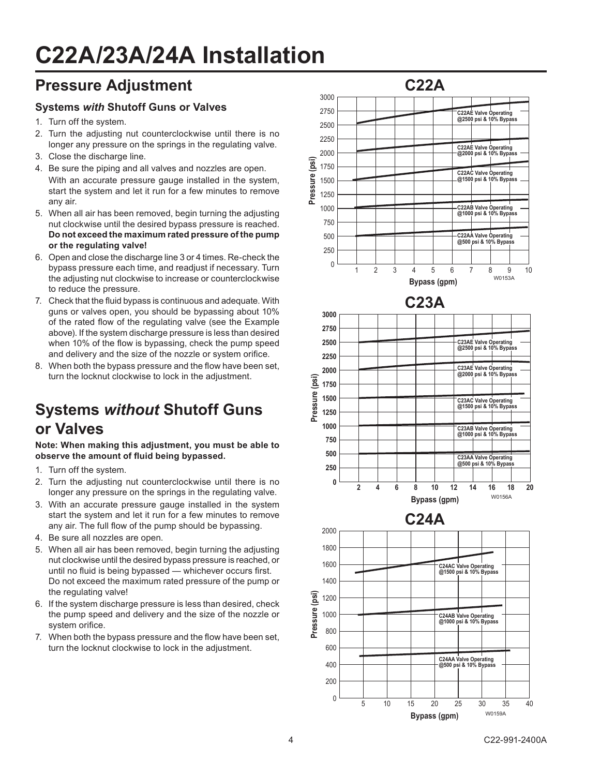## **C22A/23A/24A Installation**

### **Pressure Adjustment**

#### **Systems** *with* **Shutoff Guns or Valves**

- 1. Turn off the system.
- 2. Turn the adjusting nut counterclockwise until there is no longer any pressure on the springs in the regulating valve.
- 3. Close the discharge line.
- 4. Be sure the piping and all valves and nozzles are open. With an accurate pressure gauge installed in the system, start the system and let it run for a few minutes to remove any air.
- 5. When all air has been removed, begin turning the adjusting nut clockwise until the desired bypass pressure is reached. **Do not exceed the maximum rated pressure of the pump or the regulating valve!**
- 6. Open and close the discharge line 3 or 4 times. Re-check the bypass pressure each time, and readjust if necessary. Turn the adjusting nut clockwise to increase or counterclockwise to reduce the pressure.
- 7. Check that the fluid bypass is continuous and adequate. With guns or valves open, you should be bypassing about 10% of the rated flow of the regulating valve (see the Example above). If the system discharge pressure is less than desired when 10% of the flow is bypassing, check the pump speed and delivery and the size of the nozzle or system orifice.
- 8. When both the bypass pressure and the flow have been set, turn the locknut clockwise to lock in the adjustment.

## **Systems** *without* **Shutoff Guns or Valves**

**Note: When making this adjustment, you must be able to observe the amount of fluid being bypassed.**

- 1. Turn off the system.
- 2. Turn the adjusting nut counterclockwise until there is no longer any pressure on the springs in the regulating valve.
- 3. With an accurate pressure gauge installed in the system start the system and let it run for a few minutes to remove any air. The full flow of the pump should be bypassing.
- 4. Be sure all nozzles are open.
- 5. When all air has been removed, begin turning the adjusting nut clockwise until the desired bypass pressure is reached, or until no fluid is being bypassed — whichever occurs first. Do not exceed the maximum rated pressure of the pump or the regulating valve!
- 6. If the system discharge pressure is less than desired, check the pump speed and delivery and the size of the nozzle or system orifice.
- 7. When both the bypass pressure and the flow have been set, turn the locknut clockwise to lock in the adjustment.

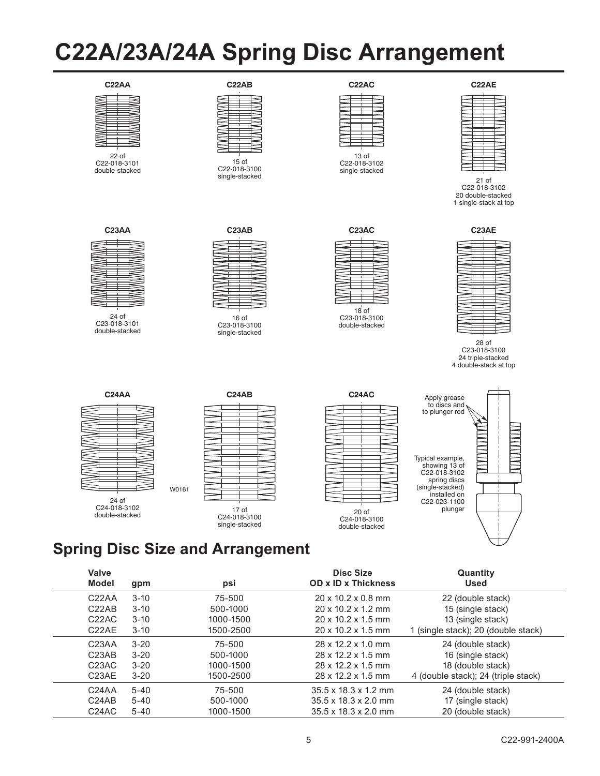## **C22A/23A/24A Spring Disc Arrangement**



22 of C22-018-3101 double-stacked

#### **C22AB**



15 of C22-018-3100 single-stacked



13 of C22-018-3102 single-stacked



21 of C22-018-3102 20 double-stacked 1 single-stack at top



24 of C23-018-3101 double-stacked



16 of C23-018-3100 single-stacked



18 of C23-018-3100 double-stacked



28 of C23-018-3100 24 triple-stacked 4 double-stack at top

|                | <b>C24AA</b>         |  |
|----------------|----------------------|--|
|                |                      |  |
|                |                      |  |
|                |                      |  |
|                |                      |  |
|                |                      |  |
|                |                      |  |
| C24-018-3102   | I<br>24 <sub>o</sub> |  |
| double-stacked |                      |  |

|              | <b>C24AB</b> |  |
|--------------|--------------|--|
|              |              |  |
|              |              |  |
|              |              |  |
|              |              |  |
|              |              |  |
|              |              |  |
|              |              |  |
|              |              |  |
|              |              |  |
|              |              |  |
|              |              |  |
|              |              |  |
|              |              |  |
|              |              |  |
|              |              |  |
|              |              |  |
|              |              |  |
|              |              |  |
|              |              |  |
|              |              |  |
|              |              |  |
|              |              |  |
|              |              |  |
|              |              |  |
|              |              |  |
| C24-018-3100 | 17 of        |  |

single-stacked





## **Spring Disc Size and Arrangement**

W0161

| Valve<br><b>Model</b>          | gpm      | psi       | <b>Disc Size</b><br><b>OD x ID x Thickness</b> | Quantity<br><b>Used</b>             |
|--------------------------------|----------|-----------|------------------------------------------------|-------------------------------------|
| C <sub>22</sub> AA             | $3 - 10$ | 75-500    | $20 \times 10.2 \times 0.8$ mm                 | 22 (double stack)                   |
| C <sub>22</sub> AB             | $3-10$   | 500-1000  | $20 \times 10.2 \times 1.2$ mm                 | 15 (single stack)                   |
| C <sub>22</sub> AC             | $3 - 10$ | 1000-1500 | $20 \times 10.2 \times 1.5$ mm                 | 13 (single stack)                   |
| C <sub>22</sub> AE             | $3-10$   | 1500-2500 | $20 \times 10.2 \times 1.5$ mm                 | 1 (single stack); 20 (double stack) |
| C <sub>23</sub> AA             | $3 - 20$ | 75-500    | 28 x 12.2 x 1.0 mm                             | 24 (double stack)                   |
| C <sub>23</sub> A <sub>B</sub> | $3 - 20$ | 500-1000  | 28 x 12.2 x 1.5 mm                             | 16 (single stack)                   |
| C <sub>23</sub> AC             | $3 - 20$ | 1000-1500 | $28 \times 12.2 \times 1.5$ mm                 | 18 (double stack)                   |
| C <sub>23</sub> AE             | $3 - 20$ | 1500-2500 | 28 x 12.2 x 1.5 mm                             | 4 (double stack); 24 (triple stack) |
| C <sub>24</sub> AA             | $5 - 40$ | 75-500    | $35.5 \times 18.3 \times 1.2$ mm               | 24 (double stack)                   |
| C <sub>24</sub> A <sub>B</sub> | $5 - 40$ | 500-1000  | $35.5 \times 18.3 \times 2.0$ mm               | 17 (single stack)                   |
| C24AC                          | $5 - 40$ | 1000-1500 | $35.5 \times 18.3 \times 2.0$ mm               | 20 (double stack)                   |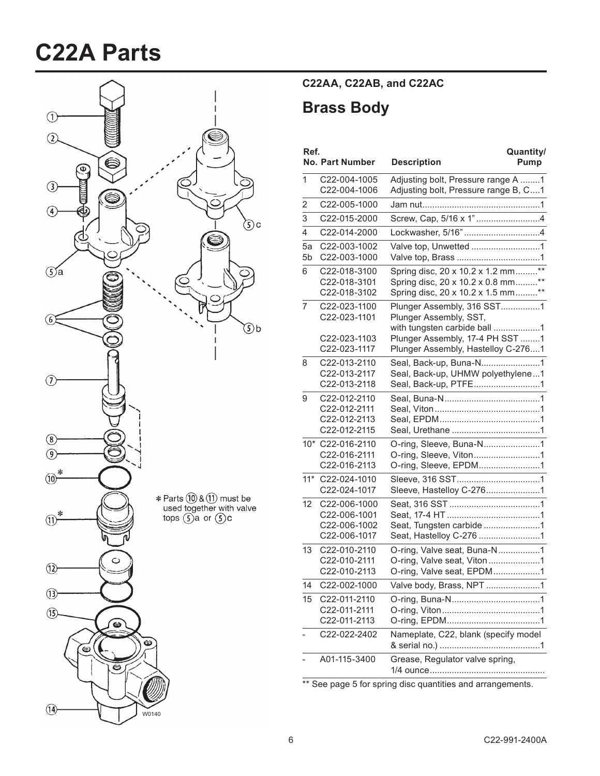## **C22A Parts**



#### **C22AA, C22AB, and C22AC**

### **Brass Body**

| Ref.           | <b>No. Part Number</b>       | Quantity/<br><b>Description</b><br>Pump                                    |
|----------------|------------------------------|----------------------------------------------------------------------------|
| 1              | C22-004-1005<br>C22-004-1006 | Adjusting bolt, Pressure range A 1<br>Adjusting bolt, Pressure range B, C1 |
| 2              | C22-005-1000                 |                                                                            |
| 3              | C22-015-2000                 |                                                                            |
| 4              | C22-014-2000                 |                                                                            |
| 5a             | C22-003-1002                 | Valve top, Unwetted 1                                                      |
| 5 <sub>b</sub> | C22-003-1000                 |                                                                            |
| 6              | C22-018-3100                 | Spring disc, 20 x 10.2 x 1.2 mm**                                          |
|                | C22-018-3101                 | Spring disc, 20 x 10.2 x 0.8 mm**                                          |
|                | C22-018-3102                 | Spring disc, 20 x 10.2 x 1.5 mm**                                          |
| 7              | C22-023-1100<br>C22-023-1101 | Plunger Assembly, 316 SST1<br>Plunger Assembly, SST,                       |
|                |                              | with tungsten carbide ball 1                                               |
|                | C22-023-1103                 | Plunger Assembly, 17-4 PH SST 1                                            |
|                | C22-023-1117                 | Plunger Assembly, Hastelloy C-2761                                         |
| 8              | C22-013-2110                 |                                                                            |
|                | C22-013-2117<br>C22-013-2118 | Seal, Back-up, UHMW polyethylene1<br>Seal, Back-up, PTFE1                  |
| 9              | C22-012-2110                 |                                                                            |
|                | C22-012-2111                 |                                                                            |
|                | C22-012-2113                 |                                                                            |
|                | C22-012-2115                 |                                                                            |
|                | 10* C22-016-2110             | O-ring, Sleeve, Buna-N1                                                    |
|                | C22-016-2111<br>C22-016-2113 | O-ring, Sleeve, Viton1                                                     |
| $11*$          | C22-024-1010                 | O-ring, Sleeve, EPDM1                                                      |
|                | C22-024-1017                 |                                                                            |
| 12             | C22-006-1000                 |                                                                            |
|                | C22-006-1001                 |                                                                            |
|                | C22-006-1002                 | Seat, Tungsten carbide 1                                                   |
|                | C22-006-1017                 |                                                                            |
| 13             | C22-010-2110                 | O-ring, Valve seat, Buna-N1                                                |
|                | C22-010-2111<br>C22-010-2113 | O-ring, Valve seat, Viton1<br>O-ring, Valve seat, EPDM1                    |
| 14             | C22-002-1000                 |                                                                            |
| 15             |                              | Valve body, Brass, NPT 1                                                   |
|                | C22-011-2110<br>C22-011-2111 |                                                                            |
|                | C22-011-2113                 |                                                                            |
|                | C22-022-2402                 | Nameplate, C22, blank (specify model                                       |
|                |                              |                                                                            |
|                | A01-115-3400                 | Grease, Regulator valve spring,                                            |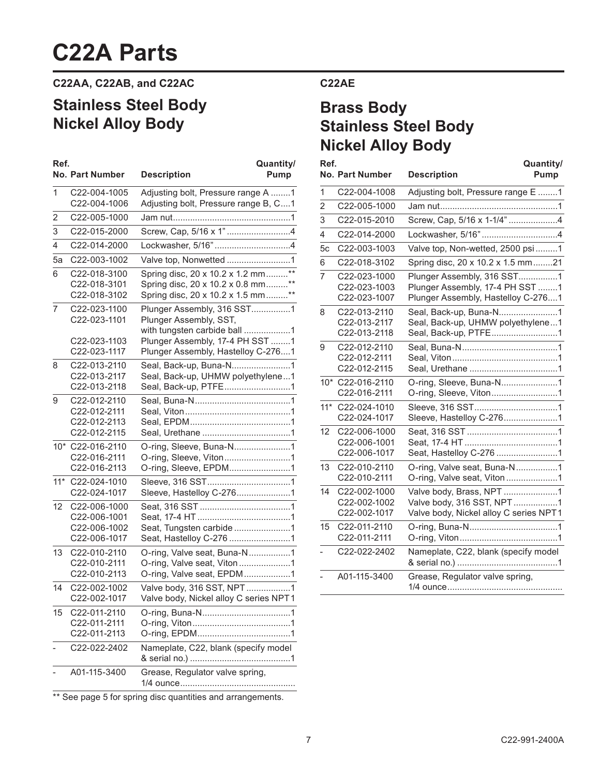## **C22A Parts**

**C22AA, C22AB, and C22AC**

## **Stainless Steel Body Nickel Alloy Body**

| Ref.           | <b>No. Part Number</b>                                       | Quantity/<br><b>Description</b><br>Pump                                                                                                                       |
|----------------|--------------------------------------------------------------|---------------------------------------------------------------------------------------------------------------------------------------------------------------|
| 1              | C22-004-1005<br>C22-004-1006                                 | Adjusting bolt, Pressure range A 1<br>Adjusting bolt, Pressure range B, C1                                                                                    |
| 2              | C22-005-1000                                                 |                                                                                                                                                               |
| 3              | C22-015-2000                                                 |                                                                                                                                                               |
| 4              | C22-014-2000                                                 | Lockwasher, 5/16"4                                                                                                                                            |
| 5a             | C22-003-1002                                                 | Valve top, Nonwetted 1                                                                                                                                        |
| 6              | C22-018-3100<br>C22-018-3101<br>C22-018-3102                 | Spring disc, 20 x 10.2 x 1.2 mm**<br>Spring disc, 20 x 10.2 x 0.8 mm**<br>Spring disc, 20 x 10.2 x 1.5 mm**                                                   |
| $\overline{7}$ | C22-023-1100<br>C22-023-1101<br>C22-023-1103<br>C22-023-1117 | Plunger Assembly, 316 SST1<br>Plunger Assembly, SST,<br>with tungsten carbide ball 1<br>Plunger Assembly, 17-4 PH SST 1<br>Plunger Assembly, Hastelloy C-2761 |
| 8              | C22-013-2110<br>C22-013-2117<br>C22-013-2118                 | Seal, Back-up, Buna-N1<br>Seal, Back-up, UHMW polyethylene1<br>Seal, Back-up, PTFE1                                                                           |
| 9              | C22-012-2110<br>C22-012-2111<br>C22-012-2113<br>C22-012-2115 |                                                                                                                                                               |
|                | 10* C22-016-2110<br>C22-016-2111<br>C22-016-2113             | O-ring, Sleeve, Buna-N1<br>O-ring, Sleeve, Viton1<br>O-ring, Sleeve, EPDM1                                                                                    |
| $11*$          | C22-024-1010<br>C22-024-1017                                 | Sleeve, Hastelloy C-2761                                                                                                                                      |
| 12             | C22-006-1000<br>C22-006-1001<br>C22-006-1002<br>C22-006-1017 | Seat, Tungsten carbide 1<br>Seat, Hastelloy C-276 1                                                                                                           |
| 13             | C22-010-2110<br>C22-010-2111<br>C22-010-2113                 | O-ring, Valve seat, Buna-N1<br>O-ring, Valve seat, Viton1<br>O-ring, Valve seat, EPDM1                                                                        |
| 14             | C22-002-1002<br>C22-002-1017                                 | Valve body, 316 SST, NPT1<br>Valve body, Nickel alloy C series NPT1                                                                                           |
| 15             | C22-011-2110<br>C22-011-2111<br>C22-011-2113                 |                                                                                                                                                               |
|                | C22-022-2402                                                 | Nameplate, C22, blank (specify model                                                                                                                          |
|                | A01-115-3400                                                 | Grease, Regulator valve spring,                                                                                                                               |

#### **C22AE**

### **Brass Body Stainless Steel Body Nickel Alloy Body**

| Ref.           | <b>No. Part Number</b>                       | Quantity/<br><b>Description</b><br>Pump                                                             |
|----------------|----------------------------------------------|-----------------------------------------------------------------------------------------------------|
|                |                                              |                                                                                                     |
| 1              | C22-004-1008                                 | Adjusting bolt, Pressure range E 1                                                                  |
| $\overline{2}$ | C22-005-1000                                 |                                                                                                     |
| 3              | C22-015-2010                                 | Screw, Cap, 5/16 x 1-1/4" 4                                                                         |
| 4              | C22-014-2000                                 | Lockwasher, 5/16"4                                                                                  |
| 5c             | C22-003-1003                                 | Valve top, Non-wetted, 2500 psi 1                                                                   |
| 6              | C22-018-3102                                 | Spring disc, 20 x 10.2 x 1.5 mm21                                                                   |
| $\overline{7}$ | C22-023-1000<br>C22-023-1003<br>C22-023-1007 | Plunger Assembly, 316 SST1<br>Plunger Assembly, 17-4 PH SST 1<br>Plunger Assembly, Hastelloy C-2761 |
| 8              | C22-013-2110<br>C22-013-2117<br>C22-013-2118 | Seal, Back-up, Buna-N1<br>Seal, Back-up, UHMW polyethylene1<br>Seal, Back-up, PTFE1                 |
| 9              | C22-012-2110<br>C22-012-2111<br>C22-012-2115 |                                                                                                     |
|                | 10* C22-016-2110<br>C22-016-2111             |                                                                                                     |
| $11*$          | C22-024-1010<br>C22-024-1017                 | Sleeve, Hastelloy C-2761                                                                            |
| 12             | C22-006-1000<br>C22-006-1001<br>C22-006-1017 | Seat, Hastelloy C-276 1                                                                             |
| 13             | C22-010-2110<br>C22-010-2111                 | O-ring, Valve seat, Buna-N1<br>O-ring, Valve seat, Viton 1                                          |
| 14             | C22-002-1000<br>C22-002-1002<br>C22-002-1017 | Valve body, Brass, NPT 1<br>Valve body, 316 SST, NPT1<br>Valve body, Nickel alloy C series NPT1     |
| 15             | C22-011-2110<br>C22-011-2111                 |                                                                                                     |
|                | C22-022-2402                                 | Nameplate, C22, blank (specify model                                                                |
|                | A01-115-3400                                 | Grease, Regulator valve spring,                                                                     |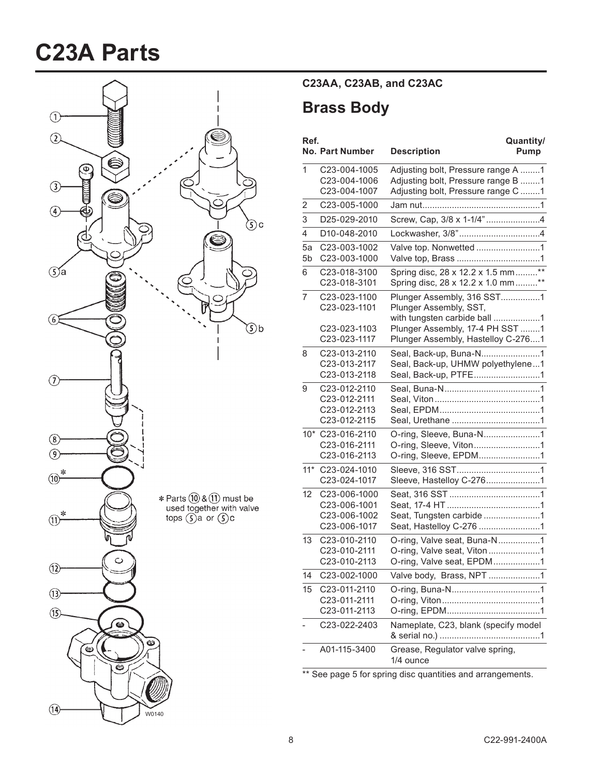## **C23A Parts**



### **C23AA, C23AB, and C23AC**

### **Brass Body**

| Ref.     | <b>No. Part Number</b>                                       | Quantity/<br>Pump<br><b>Description</b>                                                                        |
|----------|--------------------------------------------------------------|----------------------------------------------------------------------------------------------------------------|
| 1        | C23-004-1005<br>C23-004-1006<br>C23-004-1007                 | Adjusting bolt, Pressure range A 1<br>Adjusting bolt, Pressure range B 1<br>Adjusting bolt, Pressure range C 1 |
| 2        | C23-005-1000                                                 |                                                                                                                |
| 3        | D25-029-2010                                                 | Screw, Cap, 3/8 x 1-1/4"4                                                                                      |
| 4        | D10-048-2010                                                 |                                                                                                                |
| 5a<br>5b | C23-003-1002<br>C23-003-1000                                 |                                                                                                                |
| 6        | C23-018-3100<br>C23-018-3101                                 | Spring disc, 28 x 12.2 x 1.5 mm**<br>Spring disc, 28 x 12.2 x 1.0 mm**                                         |
| 7        | C23-023-1100<br>C23-023-1101                                 | Plunger Assembly, 316 SST1<br>Plunger Assembly, SST,<br>with tungsten carbide ball 1                           |
|          | C23-023-1103<br>C23-023-1117                                 | Plunger Assembly, 17-4 PH SST 1<br>Plunger Assembly, Hastelloy C-2761                                          |
| 8        | C23-013-2110<br>C23-013-2117<br>C23-013-2118                 | Seal, Back-up, Buna-N1<br>Seal, Back-up, UHMW polyethylene1<br>Seal, Back-up, PTFE1                            |
| 9        | C23-012-2110<br>C23-012-2111<br>C23-012-2113<br>C23-012-2115 |                                                                                                                |
|          | 10* C23-016-2110<br>C23-016-2111<br>C23-016-2113             | O-ring, Sleeve, Buna-N1<br>O-ring, Sleeve, Viton1<br>O-ring, Sleeve, EPDM1                                     |
| $11*$    | C23-024-1010<br>C23-024-1017                                 | Sleeve, Hastelloy C-2761                                                                                       |
| 12       | C23-006-1000<br>C23-006-1001<br>C23-006-1002<br>C23-006-1017 | Seat, Tungsten carbide 1<br>Seat, Hastelloy C-276 1                                                            |
| 13       | C23-010-2110<br>C23-010-2111<br>C23-010-2113                 | O-ring, Valve seat, Buna-N1<br>O-ring, Valve seat, Viton1<br>O-ring, Valve seat, EPDM1                         |
| 14       | C23-002-1000                                                 | Valve body, Brass, NPT 1                                                                                       |
| 15       | C23-011-2110<br>C23-011-2111<br>C23-011-2113                 |                                                                                                                |
|          | C23-022-2403                                                 | Nameplate, C23, blank (specify model                                                                           |
|          | A01-115-3400                                                 | Grease, Regulator valve spring,<br>1/4 ounce                                                                   |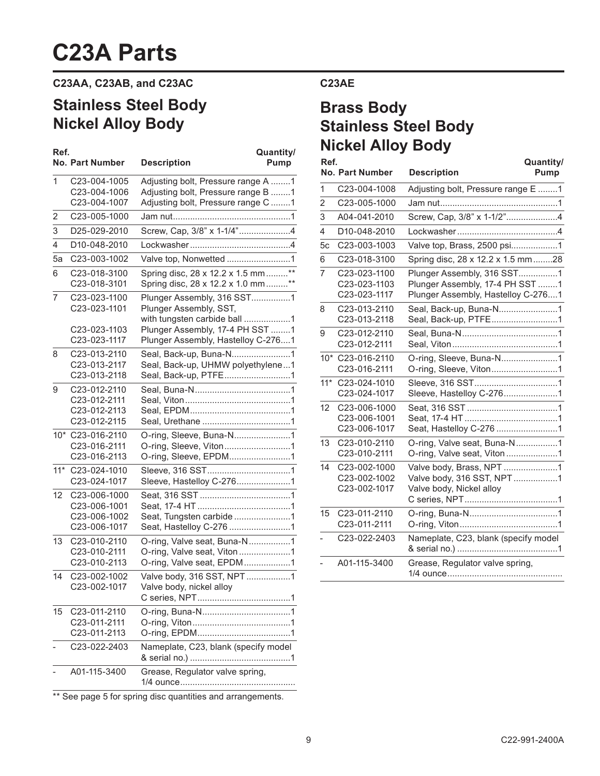## **C23A Parts**

#### **C23AA, C23AB, and C23AC**

## **Stainless Steel Body Nickel Alloy Body**

| Ref. |                                                  | Quantity/                                                                            |                | <b>INIUNGI AIIUY DUUY</b>                       |                                                                                      |                   |
|------|--------------------------------------------------|--------------------------------------------------------------------------------------|----------------|-------------------------------------------------|--------------------------------------------------------------------------------------|-------------------|
|      | <b>No. Part Number</b>                           | <b>Description</b><br><b>Pump</b>                                                    | Ref.           | No. Part Number                                 | <b>Description</b>                                                                   | Quantity/<br>Pump |
| 1    | C23-004-1005<br>C23-004-1006                     | Adjusting bolt, Pressure range A 1<br>Adjusting bolt, Pressure range B 1             | 1              | C23-004-1008                                    | Adjusting bolt, Pressure range E 1                                                   |                   |
|      | C23-004-1007                                     | Adjusting bolt, Pressure range C 1                                                   | $\overline{2}$ | C23-005-1000                                    |                                                                                      |                   |
| 2    | C23-005-1000                                     |                                                                                      | 3              | A04-041-2010                                    |                                                                                      |                   |
| 3    | D25-029-2010                                     | Screw, Cap, 3/8" x 1-1/4"4                                                           | 4              | D10-048-2010                                    |                                                                                      |                   |
| 4    | D10-048-2010                                     |                                                                                      | 5c             | C23-003-1003                                    |                                                                                      |                   |
| 5a   | C23-003-1002                                     |                                                                                      | 6              | C23-018-3100                                    | Spring disc, 28 x 12.2 x 1.5 mm28                                                    |                   |
| 6    | C23-018-3100<br>C23-018-3101                     | Spring disc, 28 x 12.2 x 1.5 mm**<br>Spring disc, 28 x 12.2 x 1.0 mm **              | $\overline{7}$ | C23-023-1100<br>C23-023-1103                    | Plunger Assembly, 316 SST1<br>Plunger Assembly, 17-4 PH SST 1                        |                   |
| 7    | C23-023-1100<br>C23-023-1101                     | Plunger Assembly, 316 SST1<br>Plunger Assembly, SST,<br>with tungsten carbide ball 1 | 8              | C23-023-1117<br>C23-013-2110<br>C23-013-2118    | Plunger Assembly, Hastelloy C-2761<br>Seal, Back-up, Buna-N1<br>Seal, Back-up, PTFE1 |                   |
|      | C23-023-1103<br>C23-023-1117                     | Plunger Assembly, 17-4 PH SST 1<br>Plunger Assembly, Hastelloy C-2761                | 9              | C23-012-2110<br>C23-012-2111                    |                                                                                      |                   |
| 8    | C23-013-2110<br>C23-013-2117<br>C23-013-2118     | Seal, Back-up, Buna-N1<br>Seal, Back-up, UHMW polyethylene1<br>Seal, Back-up, PTFE1  |                | 10* C23-016-2110<br>C23-016-2111                | O-ring, Sleeve, Buna-N1<br>O-ring, Sleeve, Viton1                                    |                   |
| 9    | C23-012-2110<br>C23-012-2111                     |                                                                                      |                | 11* C23-024-1010<br>C23-024-1017                | Sleeve, Hastelloy C-2761                                                             |                   |
|      | C23-012-2113<br>C23-012-2115                     |                                                                                      |                | 12 C23-006-1000<br>C23-006-1001<br>C23-006-1017 | Seat, Hastelloy C-276 1                                                              |                   |
|      | 10* C23-016-2110<br>C23-016-2111<br>C23-016-2113 | O-ring, Sleeve, Buna-N1<br>O-ring, Sleeve, Viton1<br>O-ring, Sleeve, EPDM1           |                | 13 C23-010-2110<br>C23-010-2111                 | O-ring, Valve seat, Buna-N1<br>O-ring, Valve seat, Viton1                            |                   |
|      | 11* C23-024-1010<br>C23-024-1017                 | Sleeve, Hastelloy C-2761                                                             |                | 14 C23-002-1000<br>C23-002-1002<br>C23-002-1017 | Valve body, Brass, NPT 1<br>Valve body, 316 SST, NPT1<br>Valve body, Nickel alloy    |                   |
|      | 12 C23-006-1000                                  |                                                                                      |                |                                                 |                                                                                      |                   |
|      | C23-006-1001<br>C23-006-1002<br>C23-006-1017     | Seat, Tungsten carbide 1<br>Seat, Hastelloy C-276 1                                  |                | 15 C23-011-2110<br>C23-011-2111                 |                                                                                      |                   |
|      | 13 C23-010-2110<br>C23-010-2111                  | O-ring, Valve seat, Buna-N1<br>O-ring, Valve seat, Viton1                            |                | C23-022-2403                                    | Nameplate, C23, blank (specify model                                                 |                   |
|      | C23-010-2113<br>14 C23-002-1002                  | O-ring, Valve seat, EPDM1<br>Valve body, 316 SST, NPT1                               |                | A01-115-3400                                    | Grease, Regulator valve spring,                                                      |                   |
|      | C23-002-1017                                     | Valve body, nickel alloy                                                             |                |                                                 |                                                                                      |                   |
|      | 15 C23-011-2110<br>C23-011-2111<br>C23-011-2113  |                                                                                      |                |                                                 |                                                                                      |                   |
|      | C23-022-2403                                     | Nameplate, C23, blank (specify model                                                 |                |                                                 |                                                                                      |                   |
|      | A01-115-3400                                     | Grease, Regulator valve spring,                                                      |                |                                                 |                                                                                      |                   |

#### **C23AE**

### **Brass Body Stainless Steel Body Nickel Alloy Body**

|                |                                              | Quantity/                                                                                           |
|----------------|----------------------------------------------|-----------------------------------------------------------------------------------------------------|
|                | No. Part Number                              | <b>Description</b><br>Pump                                                                          |
| 1              | C23-004-1008                                 | Adjusting bolt, Pressure range E 1                                                                  |
| $\overline{2}$ | C23-005-1000                                 |                                                                                                     |
| 3              | A04-041-2010                                 | Screw, Cap, 3/8" x 1-1/2"4                                                                          |
| 4              | D10-048-2010                                 |                                                                                                     |
| 5c             | C23-003-1003                                 |                                                                                                     |
| 6              | C23-018-3100                                 | Spring disc, 28 x 12.2 x 1.5 mm28                                                                   |
| $\overline{7}$ | C23-023-1100<br>C23-023-1103<br>C23-023-1117 | Plunger Assembly, 316 SST1<br>Plunger Assembly, 17-4 PH SST 1<br>Plunger Assembly, Hastelloy C-2761 |
| 8              | C23-013-2110<br>C23-013-2118                 | Seal, Back-up, Buna-N1<br>Seal, Back-up, PTFE1                                                      |
| 9              | C23-012-2110<br>C23-012-2111                 |                                                                                                     |
| $10*$          | C23-016-2110<br>C23-016-2111                 | O-ring, Sleeve, Buna-N1<br>O-ring, Sleeve, Viton1                                                   |
| $11*$          | C23-024-1010<br>C23-024-1017                 | Sleeve, Hastelloy C-2761                                                                            |
| 12             | C23-006-1000<br>C23-006-1001<br>C23-006-1017 |                                                                                                     |
| 13             | C23-010-2110<br>C23-010-2111                 | O-ring, Valve seat, Viton1                                                                          |
| 14             | C23-002-1000<br>C23-002-1002<br>C23-002-1017 | Valve body, Brass, NPT 1<br>Valve body, 316 SST, NPT1<br>Valve body, Nickel alloy                   |
| 15             | C23-011-2110<br>C23-011-2111                 |                                                                                                     |
|                | C23-022-2403                                 | Nameplate, C23, blank (specify model                                                                |
|                | A01-115-3400                                 | Grease, Regulator valve spring,                                                                     |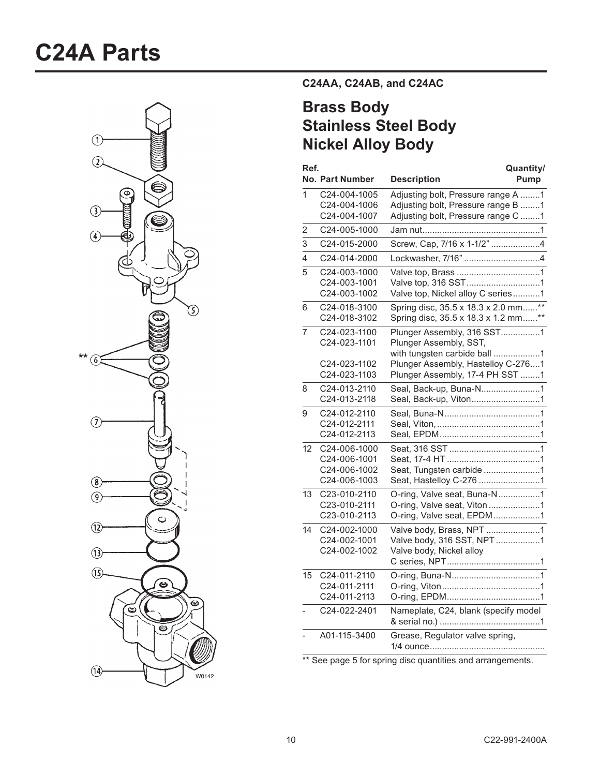## **C24A Parts**



**C24AA, C24AB, and C24AC**

## **Brass Body Stainless Steel Body Nickel Alloy Body**

| Ref.                    | <b>No. Part Number</b>                                       | Quantity/<br><b>Description</b><br>Pump                                                                                    |  |
|-------------------------|--------------------------------------------------------------|----------------------------------------------------------------------------------------------------------------------------|--|
| 1                       | C24-004-1005<br>C24-004-1006<br>C24-004-1007                 | Adjusting bolt, Pressure range A 1<br>Adjusting bolt, Pressure range B 1<br>Adjusting bolt, Pressure range C 1             |  |
| 2                       | C24-005-1000                                                 |                                                                                                                            |  |
| 3                       | C24-015-2000                                                 | Screw, Cap, 7/16 x 1-1/2" 4                                                                                                |  |
| $\overline{\mathbf{4}}$ | C24-014-2000                                                 |                                                                                                                            |  |
| 5                       | C24-003-1000<br>C24-003-1001<br>C24-003-1002                 | Valve top, 316 SST1<br>Valve top, Nickel alloy C series1                                                                   |  |
| 6                       | C24-018-3100<br>C24-018-3102                                 | Spring disc, 35.5 x 18.3 x 2.0 mm**<br>Spring disc, 35.5 x 18.3 x 1.2 mm**                                                 |  |
| $\overline{7}$          | C24-023-1100<br>C24-023-1101<br>C24-023-1102                 | Plunger Assembly, 316 SST1<br>Plunger Assembly, SST,<br>with tungsten carbide ball 1<br>Plunger Assembly, Hastelloy C-2761 |  |
| 8                       | C24-023-1103<br>C24-013-2110<br>C24-013-2118                 | Plunger Assembly, 17-4 PH SST 1<br>Seal, Back-up, Buna-N1<br>Seal, Back-up, Viton1                                         |  |
| 9                       | C24-012-2110<br>C24-012-2111<br>C24-012-2113                 |                                                                                                                            |  |
| 12                      | C24-006-1000<br>C24-006-1001<br>C24-006-1002<br>C24-006-1003 | Seat, Tungsten carbide 1<br>Seat, Hastelloy C-276 1                                                                        |  |
| 13                      | C23-010-2110<br>C23-010-2111<br>C23-010-2113                 | O-ring, Valve seat, Buna-N1<br>O-ring, Valve seat, Viton1<br>O-ring, Valve seat, EPDM1                                     |  |
| 14                      | C24-002-1000<br>C24-002-1001<br>C24-002-1002                 | Valve body, Brass, NPT 1<br>Valve body, 316 SST, NPT1<br>Valve body, Nickel alloy                                          |  |
| 15                      | C24-011-2110<br>C24-011-2111<br>C24-011-2113                 |                                                                                                                            |  |
|                         | C24-022-2401                                                 | Nameplate, C24, blank (specify model                                                                                       |  |
|                         | A01-115-3400                                                 | Grease, Regulator valve spring,                                                                                            |  |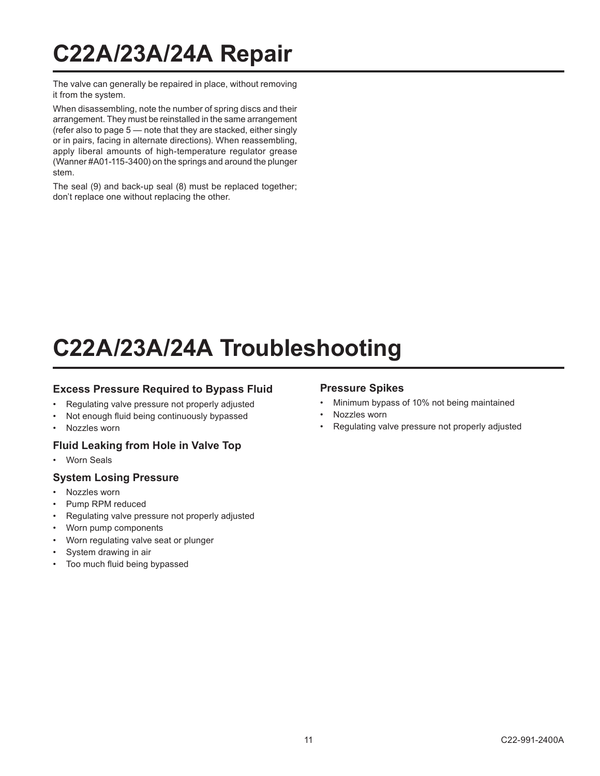## **C22A/23A/24A Repair**

The valve can generally be repaired in place, without removing it from the system.

When disassembling, note the number of spring discs and their arrangement. They must be reinstalled in the same arrangement (refer also to page 5 — note that they are stacked, either singly or in pairs, facing in alternate directions). When reassembling, apply liberal amounts of high-temperature regulator grease (Wanner #A01-115-3400) on the springs and around the plunger stem.

The seal (9) and back-up seal (8) must be replaced together; don't replace one without replacing the other.

## **C22A/23A/24A Troubleshooting**

#### **Excess Pressure Required to Bypass Fluid**

- Regulating valve pressure not properly adjusted
- Not enough fluid being continuously bypassed
- Nozzles worn

#### **Fluid Leaking from Hole in Valve Top**

Worn Seals

#### **System Losing Pressure**

- Nozzles worn
- Pump RPM reduced
- Regulating valve pressure not properly adjusted
- Worn pump components
- Worn regulating valve seat or plunger
- System drawing in air
- Too much fluid being bypassed

#### **Pressure Spikes**

- Minimum bypass of 10% not being maintained
- Nozzles worn
- Regulating valve pressure not properly adjusted